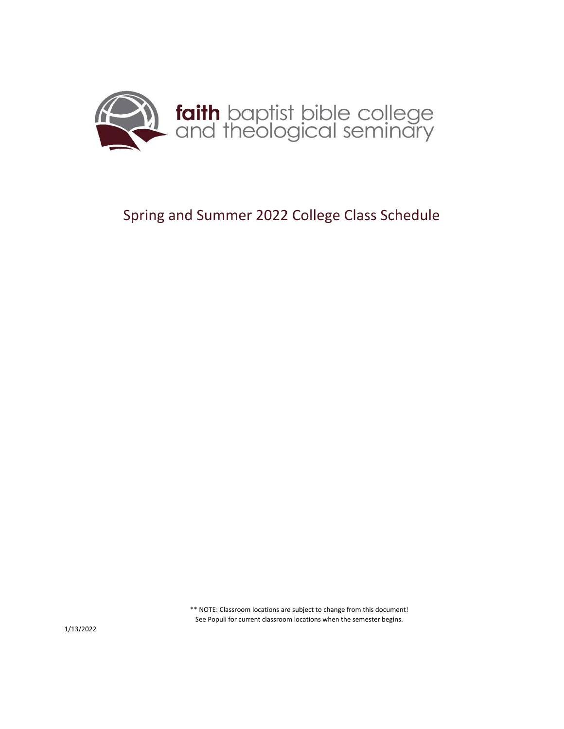

## Spring and Summer 2022 College Class Schedule

\*\* NOTE: Classroom locations are subject to change from this document! See Populi for current classroom locations when the semester begins.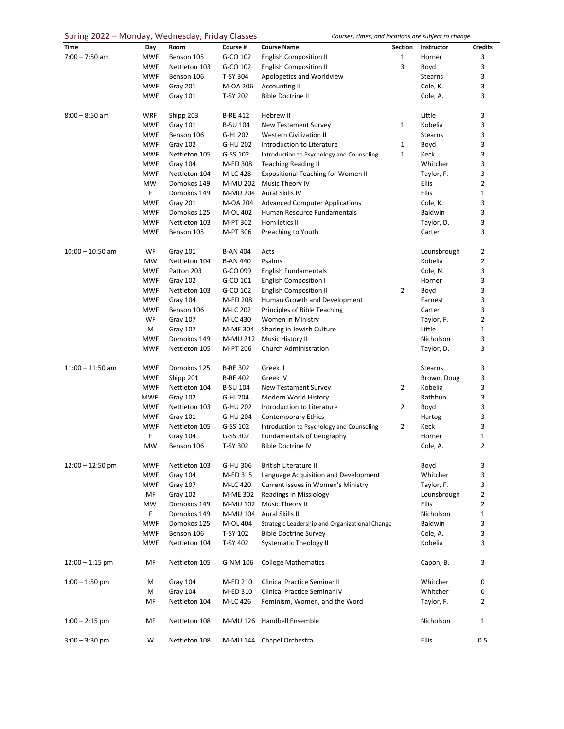## Spring 2022 – Monday, Wednesday, Friday Classes

|  |  | Courses, times, and locations are subject to change. |  |  |  |
|--|--|------------------------------------------------------|--|--|--|
|  |  |                                                      |  |  |  |

| ------o ---<br><b>Time</b> | $\cdots$ <i>. .</i> | Room                      | -------<br>Course # | <b>Course Name</b>                             | Section        | Instructor       | <b>Credits</b> |
|----------------------------|---------------------|---------------------------|---------------------|------------------------------------------------|----------------|------------------|----------------|
|                            | Day                 |                           |                     |                                                |                |                  |                |
| $7:00 - 7:50$ am           | <b>MWF</b>          | Benson 105                | G-CO 102            | <b>English Composition II</b>                  | 1              | Horner           | 3              |
|                            | <b>MWF</b>          | Nettleton 103             | G-CO 102            | <b>English Composition II</b>                  | 3              | Boyd             | 3              |
|                            | <b>MWF</b>          | Benson 106                | T-SY 304            | Apologetics and Worldview                      |                | Stearns          | 3              |
|                            | <b>MWF</b>          | Gray 201                  | M-OA 206            | <b>Accounting II</b>                           |                | Cole, K.         | 3              |
|                            | <b>MWF</b>          | Gray 101                  | T-SY 202            | <b>Bible Doctrine II</b>                       |                | Cole, A.         | 3              |
| $8:00 - 8:50$ am           | <b>WRF</b>          | Shipp 203                 | <b>B-RE 412</b>     | Hebrew II                                      |                | Little           | 3              |
|                            | <b>MWF</b>          | Gray 101                  | <b>B-SU 104</b>     | <b>New Testament Survey</b>                    | 1              | Kobelia          | 3              |
|                            | <b>MWF</b>          | Benson 106                | G-HI 202            | <b>Western Civilization II</b>                 |                | <b>Stearns</b>   | 3              |
|                            | <b>MWF</b>          | Gray 102                  | G-HU 202            | Introduction to Literature                     | 1              | Boyd             | 3              |
|                            | <b>MWF</b>          | Nettleton 105             | G-SS 102            | Introduction to Psychology and Counseling      | 1              | Keck             | 3              |
|                            | <b>MWF</b>          | Gray 104                  | M-ED 308            | <b>Teaching Reading II</b>                     |                | Whitcher         | 3              |
|                            | <b>MWF</b>          | Nettleton 104             | M-LC 428            | <b>Expositional Teaching for Women II</b>      |                | Taylor, F.       | 3              |
|                            | <b>MW</b>           | Domokos 149               | M-MU 202            | Music Theory IV                                |                | Ellis            | $\overline{2}$ |
|                            | F                   |                           | M-MU 204            | Aural Skills IV                                |                | Ellis            | $\mathbf 1$    |
|                            |                     | Domokos 149               |                     |                                                |                |                  |                |
|                            | <b>MWF</b>          | Gray 201                  | M-OA 204            | <b>Advanced Computer Applications</b>          |                | Cole, K.         | 3              |
|                            | <b>MWF</b>          | Domokos 125               | M-OL 402            | Human Resource Fundamentals                    |                | Baldwin          | 3              |
|                            | <b>MWF</b>          | Nettleton 103             | M-PT 302            | Homiletics II                                  |                | Taylor, D.       | 3              |
|                            | <b>MWF</b>          | Benson 105                | M-PT 306            | Preaching to Youth                             |                | Carter           | 3              |
| $10:00 - 10:50$ am         | WF                  | Gray 101                  | <b>B-AN 404</b>     | Acts                                           |                | Lounsbrough      | 2              |
|                            | MW                  | Nettleton 104             | <b>B-AN 440</b>     | Psalms                                         |                | Kobelia          | 2              |
|                            | <b>MWF</b>          | Patton 203                | G-CO 099            | English Fundamentals                           |                | Cole, N.         | 3              |
|                            | <b>MWF</b>          | Gray 102                  | G-CO 101            | <b>English Composition I</b>                   |                | Horner           | 3              |
|                            | <b>MWF</b>          | Nettleton 103             | G-CO 102            | <b>English Composition II</b>                  | 2              | Boyd             | 3              |
|                            | <b>MWF</b>          | Gray 104                  | M-ED 208            | Human Growth and Development                   |                | Earnest          | 3              |
|                            | <b>MWF</b>          | Benson 106                | M-LC 202            | Principles of Bible Teaching                   |                | Carter           | 3              |
|                            | WF                  | Gray 107                  | M-LC 430            | Women in Ministry                              |                | Taylor, F.       | 2              |
|                            | M                   | Gray 107                  | M-ME 304            | Sharing in Jewish Culture                      |                | Little           | 1              |
|                            |                     |                           |                     |                                                |                |                  |                |
|                            | <b>MWF</b>          | Domokos 149               | M-MU 212            | Music History II                               |                | Nicholson        | 3              |
|                            | <b>MWF</b>          | Nettleton 105             | M-PT 206            | Church Administration                          |                | Taylor, D.       | 3              |
| $11:00 - 11:50$ am         | <b>MWF</b>          | Domokos 125               | <b>B-RE 302</b>     | Greek II                                       |                | <b>Stearns</b>   | 3              |
|                            | <b>MWF</b>          | Shipp 201                 | <b>B-RE 402</b>     | Greek IV                                       |                | Brown, Doug      | 3              |
|                            | <b>MWF</b>          | Nettleton 104             | <b>B-SU 104</b>     | New Testament Survey                           | $\overline{2}$ | Kobelia          | 3              |
|                            | <b>MWF</b>          | Gray 102                  | G-HI 204            | Modern World History                           |                | Rathbun          | 3              |
|                            | <b>MWF</b>          | Nettleton 103             | G-HU 202            | Introduction to Literature                     | $\overline{2}$ | Boyd             | 3              |
|                            | <b>MWF</b>          | Gray 101                  | G-HU 204            | <b>Contemporary Ethics</b>                     |                | Hartog           | 3              |
|                            | <b>MWF</b>          | Nettleton 105             | G-SS 102            | Introduction to Psychology and Counseling      | 2              | Keck             | 3              |
|                            | F                   | Gray 104                  | G-SS 302            | <b>Fundamentals of Geography</b>               |                | Horner           | 1              |
|                            | <b>MW</b>           | Benson 106                | T-SY 302            | <b>Bible Doctrine IV</b>                       |                | Cole, A.         | $\overline{2}$ |
|                            | <b>MWF</b>          |                           | G-HU 306            | <b>British Literature II</b>                   |                |                  |                |
| $12:00 - 12:50$ pm         | <b>MWF</b>          | Nettleton 103<br>Gray 104 | M-ED 315            | Language Acquisition and Development           |                | Boyd<br>Whitcher | 3<br>3         |
|                            |                     |                           |                     |                                                |                |                  | 3              |
|                            | <b>MWF</b>          | Gray 107                  | M-LC 420            | Current Issues in Women's Ministry             |                | Taylor, F.       |                |
|                            | MF                  | Gray 102                  | M-ME 302            | Readings in Missiology                         |                | Lounsbrough      | 2              |
|                            | <b>MW</b>           | Domokos 149               | M-MU 102            | Music Theory II                                |                | <b>Ellis</b>     | 2              |
|                            | $\mathsf F$         | Domokos 149               | M-MU 104            | Aural Skills II                                |                | Nicholson        | $\mathbf 1$    |
|                            | <b>MWF</b>          | Domokos 125               | M-OL 404            | Strategic Leadership and Organizational Change |                | Baldwin          | 3              |
|                            | <b>MWF</b>          | Benson 106                | T-SY 102            | <b>Bible Doctrine Survey</b>                   |                | Cole, A.         | 3              |
|                            | <b>MWF</b>          | Nettleton 104             | T-SY 402            | <b>Systematic Theology II</b>                  |                | Kobelia          | 3              |
| $12:00 - 1:15$ pm          | MF                  | Nettleton 105             | G-NM 106            | <b>College Mathematics</b>                     |                | Capon, B.        | 3              |
| $1:00 - 1:50$ pm           | M                   | Gray 104                  | M-ED 210            | Clinical Practice Seminar II                   |                | Whitcher         | 0              |
|                            | M                   | Gray 104                  | M-ED 310            | <b>Clinical Practice Seminar IV</b>            |                | Whitcher         | 0              |
|                            | MF                  | Nettleton 104             | M-LC 426            | Feminism, Women, and the Word                  |                | Taylor, F.       | 2              |
| $1:00 - 2:15$ pm           | MF                  | Nettleton 108             |                     | M-MU 126 Handbell Ensemble                     |                | Nicholson        | 1              |
| $3:00 - 3:30$ pm           | W                   | Nettleton 108             |                     | M-MU 144 Chapel Orchestra                      |                | Ellis            | 0.5            |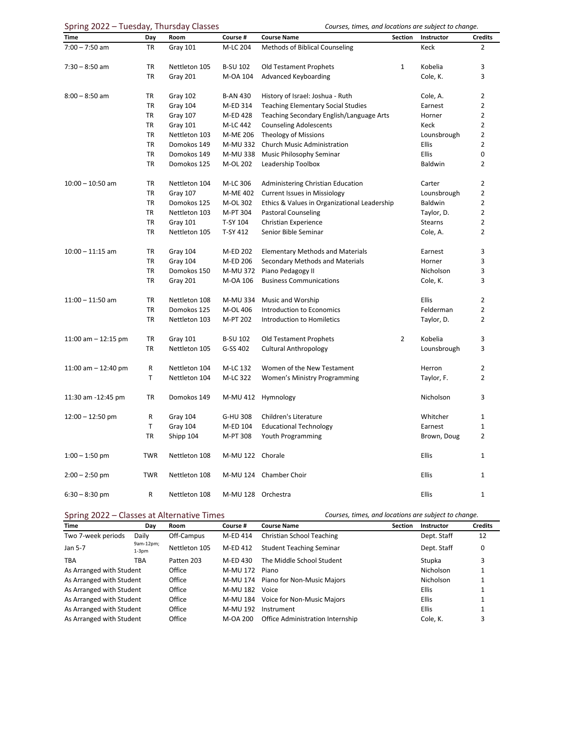| Spring 2022 – Tuesday, Thursday Classes |  |  |
|-----------------------------------------|--|--|
|-----------------------------------------|--|--|

Courses, times, and locations are subject to change.

| Time                  | Day        | Room          | Course #           | <b>Course Name</b>                           | Section        | Instructor     | <b>Credits</b> |
|-----------------------|------------|---------------|--------------------|----------------------------------------------|----------------|----------------|----------------|
| $7:00 - 7:50$ am      | <b>TR</b>  | Gray 101      | M-LC 204           | Methods of Biblical Counseling               |                | Keck           | $\overline{2}$ |
|                       |            |               |                    |                                              |                |                |                |
| $7:30 - 8:50$ am      | TR         | Nettleton 105 | <b>B-SU 102</b>    | <b>Old Testament Prophets</b>                | $\mathbf{1}$   | Kobelia        | 3              |
|                       | <b>TR</b>  | Gray 201      | M-OA 104           | Advanced Keyboarding                         |                | Cole, K.       | 3              |
|                       |            |               |                    |                                              |                |                |                |
| $8:00 - 8:50$ am      | TR         | Gray 102      | <b>B-AN 430</b>    | History of Israel: Joshua - Ruth             |                | Cole, A.       | $\overline{2}$ |
|                       | TR         | Gray 104      | M-ED 314           | <b>Teaching Elementary Social Studies</b>    |                | Earnest        | $\overline{2}$ |
|                       | TR         | Gray 107      | M-ED 428           | Teaching Secondary English/Language Arts     |                | Horner         | 2              |
|                       | <b>TR</b>  | Gray 101      | M-LC 442           | <b>Counseling Adolescents</b>                |                | Keck           | 2              |
|                       | <b>TR</b>  | Nettleton 103 | M-ME 206           | <b>Theology of Missions</b>                  |                | Lounsbrough    | 2              |
|                       | <b>TR</b>  | Domokos 149   | M-MU 332           | <b>Church Music Administration</b>           |                | Ellis          | $\overline{2}$ |
|                       | <b>TR</b>  | Domokos 149   | M-MU 338           | Music Philosophy Seminar                     |                | <b>Ellis</b>   | 0              |
|                       | <b>TR</b>  | Domokos 125   | M-OL 202           | Leadership Toolbox                           |                | Baldwin        | 2              |
| $10:00 - 10:50$ am    | TR         | Nettleton 104 | M-LC 306           | Administering Christian Education            |                | Carter         | $\overline{2}$ |
|                       | <b>TR</b>  | Gray 107      | M-ME 402           | <b>Current Issues in Missiology</b>          |                | Lounsbrough    | 2              |
|                       | <b>TR</b>  | Domokos 125   | M-OL 302           | Ethics & Values in Organizational Leadership |                | Baldwin        | $\overline{2}$ |
|                       | TR         | Nettleton 103 | M-PT 304           | <b>Pastoral Counseling</b>                   |                | Taylor, D.     | $\overline{2}$ |
|                       | <b>TR</b>  | Gray 101      | T-SY 104           | Christian Experience                         |                | <b>Stearns</b> | 2              |
|                       | <b>TR</b>  | Nettleton 105 | T-SY 412           | Senior Bible Seminar                         |                | Cole, A.       | 2              |
|                       |            |               |                    |                                              |                |                |                |
| $10:00 - 11:15$ am    | <b>TR</b>  | Gray 104      | M-ED 202           | <b>Elementary Methods and Materials</b>      |                | Earnest        | 3              |
|                       | TR         | Gray 104      | M-ED 206           | Secondary Methods and Materials              |                | Horner         | 3              |
|                       | <b>TR</b>  | Domokos 150   | M-MU 372           | Piano Pedagogy II                            |                | Nicholson      | 3              |
|                       | TR         | Gray 201      | M-OA 106           | <b>Business Communications</b>               |                | Cole, K.       | 3              |
|                       |            |               |                    |                                              |                |                |                |
| $11:00 - 11:50$ am    | TR         | Nettleton 108 | M-MU 334           | Music and Worship                            |                | <b>Ellis</b>   | $\overline{2}$ |
|                       | TR         | Domokos 125   | M-OL 406           | Introduction to Economics                    |                | Felderman      | 2              |
|                       | <b>TR</b>  | Nettleton 103 | M-PT 202           | Introduction to Homiletics                   |                | Taylor, D.     | $\overline{2}$ |
| 11:00 am $-$ 12:15 pm | <b>TR</b>  | Gray 101      | <b>B-SU 102</b>    | <b>Old Testament Prophets</b>                | $\overline{2}$ | Kobelia        | 3              |
|                       | TR         | Nettleton 105 | G-SS 402           | <b>Cultural Anthropology</b>                 |                | Lounsbrough    | 3              |
|                       |            |               |                    |                                              |                |                |                |
| 11:00 am $-$ 12:40 pm | R          | Nettleton 104 | M-LC 132           | Women of the New Testament                   |                | Herron         | 2              |
|                       | T          | Nettleton 104 | M-LC 322           | <b>Women's Ministry Programming</b>          |                | Taylor, F.     | 2              |
| 11:30 am -12:45 pm    | TR         | Domokos 149   |                    | M-MU 412 Hymnology                           |                | Nicholson      | 3              |
|                       | R          | Gray 104      | G-HU 308           | Children's Literature                        |                | Whitcher       | 1              |
| $12:00 - 12:50$ pm    | T          | Gray 104      | M-ED 104           | <b>Educational Technology</b>                |                | Earnest        | 1              |
|                       | <b>TR</b>  | Shipp 104     | M-PT 308           | Youth Programming                            |                | Brown, Doug    | 2              |
|                       |            |               |                    |                                              |                |                |                |
| $1:00 - 1:50$ pm      | <b>TWR</b> | Nettleton 108 | M-MU 122 Chorale   |                                              |                | Ellis          | 1              |
| $2:00 - 2:50$ pm      | <b>TWR</b> | Nettleton 108 |                    | M-MU 124 Chamber Choir                       |                | Ellis          | 1              |
| $6:30 - 8:30$ pm      | R          | Nettleton 108 | M-MU 128 Orchestra |                                              |                | Ellis          | 1              |

Spring 2022 – Classes at Alternative Times *Courses, times, and locations are subject to change.*

| Time                     | Day                  | Room          | Course # | <b>Course Name</b>                  | <b>Section</b> | Instructor       | <b>Credits</b> |
|--------------------------|----------------------|---------------|----------|-------------------------------------|----------------|------------------|----------------|
| Two 7-week periods       | Daily                | Off-Campus    | M-ED 414 | Christian School Teaching           |                | Dept. Staff      | 12             |
| Jan 5-7                  | 9am-12pm;<br>$1-3pm$ | Nettleton 105 | M-ED 412 | <b>Student Teaching Seminar</b>     |                | Dept. Staff      | 0              |
| <b>TBA</b>               | TBA                  | Patten 203    | M-ED 430 | The Middle School Student           |                | Stupka           | 3              |
| As Arranged with Student |                      | Office        | M-MU 172 | Piano                               |                | <b>Nicholson</b> |                |
| As Arranged with Student |                      | Office        |          | M-MU 174 Piano for Non-Music Majors |                | Nicholson        |                |
| As Arranged with Student |                      | Office        | M-MU 182 | Voice                               |                | <b>Ellis</b>     |                |
| As Arranged with Student |                      | Office        | M-MU 184 | Voice for Non-Music Majors          |                | <b>Ellis</b>     |                |
| As Arranged with Student |                      | Office        | M-MU 192 | Instrument                          |                | <b>Ellis</b>     |                |
| As Arranged with Student |                      | Office        | M-OA 200 | Office Administration Internship    |                | Cole. K.         | 3              |
|                          |                      |               |          |                                     |                |                  |                |